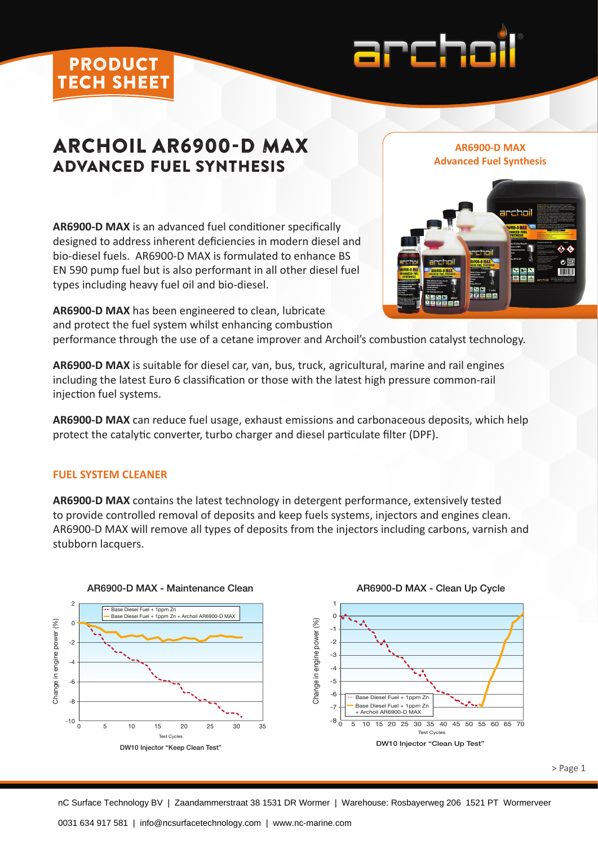### product tech sheet



# ARCHOIL AR6900-D MAX ADVANCED FUEL SYNTHESIS

**AR6900-D MAX** is an advanced fuel conditioner specifically designed to address inherent deficiencies in modern diesel and bio-diesel fuels. AR6900-D MAX is formulated to enhance BS EN 590 pump fuel but is also performant in all other diesel fuel types including heavy fuel oil and bio-diesel.

**AR6900-D MAX Advanced Fuel Synthesis**



**AR6900-D MAX** has been engineered to clean, lubricate and protect the fuel system whilst enhancing combustion

performance through the use of a cetane improver and Archoil's combustion catalyst technology.

**AR6900-D MAX** is suitable for diesel car, van, bus, truck, agricultural, marine and rail engines including the latest Euro 6 classification or those with the latest high pressure common-rail injection fuel systems.

**AR6900-D MAX** can reduce fuel usage, exhaust emissions and carbonaceous deposits, which help protect the catalytic converter, turbo charger and diesel particulate filter (DPF).

### **FUEL SYSTEM CLEANER**

**AR6900-D MAX** contains the latest technology in detergent performance, extensively tested to provide controlled removal of deposits and keep fuels systems, injectors and engines clean. AR6900-D MAX will remove all types of deposits from the injectors including carbons, varnish and stubborn lacquers.



AR6900-D MAX - Clean Up Cycle

> Page 1

nC Surface Technology BV | Zaandammerstraat 38 1531 DR Wormer | Warehouse: Rosbayerweg 206 1521 PT Wormerveer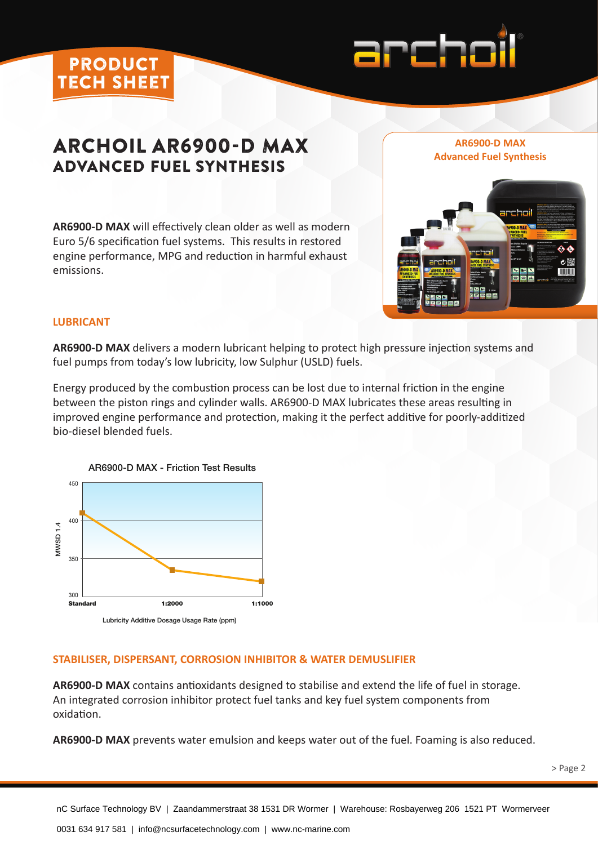

# **ARCHOIL AR6900-D MAX** AR6900-D MAX<br>Advanced Fuel Synthesis ADVANCED FUEL SYNTHESIS

**AR6900-D MAX** will effectively clean older as well as modern Euro 5/6 specification fuel systems. This results in restored engine performance, MPG and reduction in harmful exhaust emissions.





#### **LUBRICANT**

product tech sheet

**AR6900-D MAX** delivers a modern lubricant helping to protect high pressure injection systems and fuel pumps from today's low lubricity, low Sulphur (USLD) fuels.

Energy produced by the combustion process can be lost due to internal friction in the engine between the piston rings and cylinder walls. AR6900-D MAX lubricates these areas resulting in improved engine performance and protection, making it the perfect additive for poorly-additized bio-diesel blended fuels.



#### **STABILISER, DISPERSANT, CORROSION INHIBITOR & WATER DEMUSLIFIER**

**AR6900-D MAX** contains antioxidants designed to stabilise and extend the life of fuel in storage. An integrated corrosion inhibitor protect fuel tanks and key fuel system components from oxidation.

**AR6900-D MAX** prevents water emulsion and keeps water out of the fuel. Foaming is also reduced.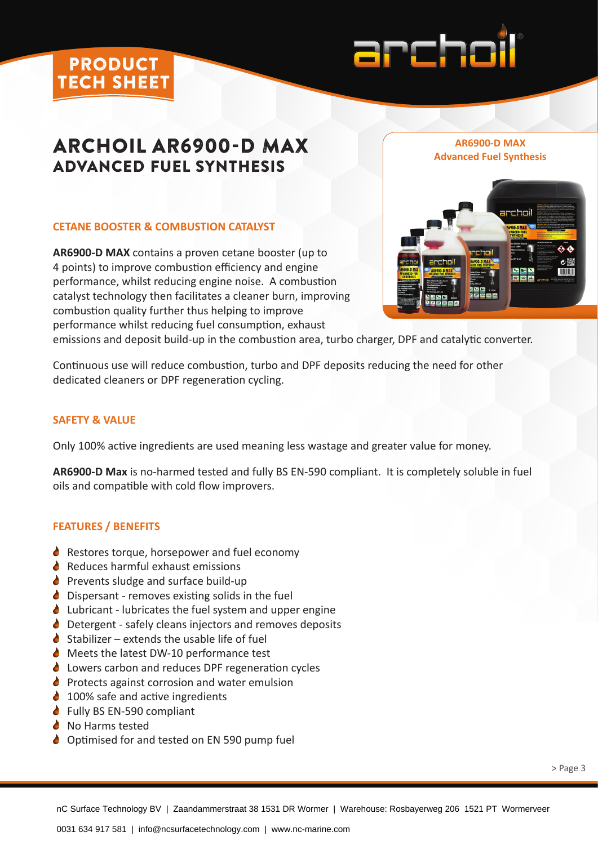## product tech sheet



# ARCHOIL AR6900-D MAX ADVANCED FUEL SYNTHESIS

### **CETANE BOOSTER & COMBUSTION CATALYST**

**AR6900-D MAX** contains a proven cetane booster (up to 4 points) to improve combustion efficiency and engine performance, whilst reducing engine noise. A combustion catalyst technology then facilitates a cleaner burn, improving combustion quality further thus helping to improve performance whilst reducing fuel consumption, exhaust



**AR6900-D MAX** 

emissions and deposit build-up in the combustion area, turbo charger, DPF and catalytic converter.

Continuous use will reduce combustion, turbo and DPF deposits reducing the need for other dedicated cleaners or DPF regeneration cycling.

#### **SAFETY & VALUE**

Only 100% active ingredients are used meaning less wastage and greater value for money.

**AR6900-D Max** is no-harmed tested and fully BS EN-590 compliant. It is completely soluble in fuel oils and compatible with cold flow improvers.

#### **FEATURES / BENEFITS**

- ◆ Restores torque, horsepower and fuel economy
- $\triangle$  Reduces harmful exhaust emissions
- $\triangle$  Prevents sludge and surface build-up
- $\bullet$  Dispersant removes existing solids in the fuel
- $\bullet$  Lubricant lubricates the fuel system and upper engine
- Detergent safely cleans injectors and removes deposits
- $\triangle$  Stabilizer extends the usable life of fuel
- Meets the latest DW-10 performance test
- Lowers carbon and reduces DPF regeneration cycles
- $\bullet$  Protects against corrosion and water emulsion
- $\triangle$  100% safe and active ingredients
- **↓** Fully BS EN-590 compliant
- **∂** No Harms tested
- $\triangle$  Optimised for and tested on EN 590 pump fuel

Archoil Eu II Jaandemmerstreet 38 1531 DR Wermer | Warehouse: Pesheverweg 206, 1521 PT nC Surface Technology BV | Zaandammerstraat 38 1531 DR Wormer | Warehouse: Rosbayerweg 206 1521 PT Wormerveer<br>.